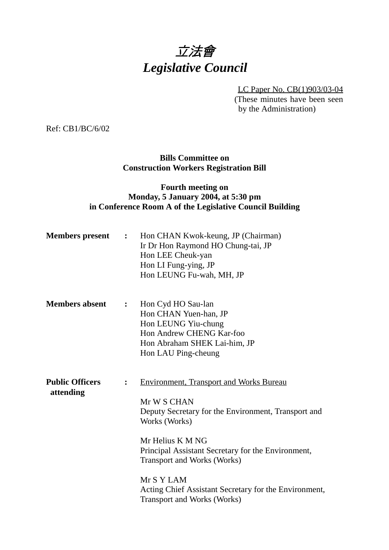# 立法會 *Legislative Council*

LC Paper No. CB(1)903/03-04

(These minutes have been seen by the Administration)

Ref: CB1/BC/6/02

### **Bills Committee on Construction Workers Registration Bill**

### **Fourth meeting on Monday, 5 January 2004, at 5:30 pm in Conference Room A of the Legislative Council Building**

| <b>Members</b> present                                | $\ddot{\bullet}$ | Hon CHAN Kwok-keung, JP (Chairman)<br>Ir Dr Hon Raymond HO Chung-tai, JP<br>Hon LEE Cheuk-yan<br>Hon LI Fung-ying, JP<br>Hon LEUNG Fu-wah, MH, JP                                                                                                                                                                                                                  |
|-------------------------------------------------------|------------------|--------------------------------------------------------------------------------------------------------------------------------------------------------------------------------------------------------------------------------------------------------------------------------------------------------------------------------------------------------------------|
| <b>Members absent</b>                                 | $\ddot{\bullet}$ | Hon Cyd HO Sau-lan<br>Hon CHAN Yuen-han, JP<br>Hon LEUNG Yiu-chung<br>Hon Andrew CHENG Kar-foo<br>Hon Abraham SHEK Lai-him, JP<br>Hon LAU Ping-cheung                                                                                                                                                                                                              |
| <b>Public Officers</b><br>$\ddot{\cdot}$<br>attending |                  | <b>Environment, Transport and Works Bureau</b><br>Mr W S CHAN<br>Deputy Secretary for the Environment, Transport and<br>Works (Works)<br>Mr Helius K M NG<br>Principal Assistant Secretary for the Environment,<br><b>Transport and Works (Works)</b><br>Mr S Y LAM<br>Acting Chief Assistant Secretary for the Environment,<br><b>Transport and Works (Works)</b> |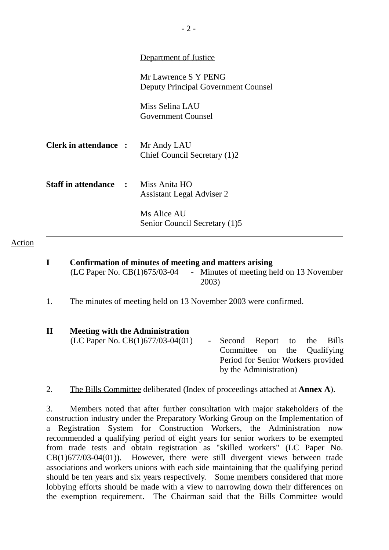|                                            | Department of Justice                                       |  |
|--------------------------------------------|-------------------------------------------------------------|--|
|                                            | Mr Lawrence S Y PENG<br>Deputy Principal Government Counsel |  |
|                                            | Miss Selina LAU<br><b>Government Counsel</b>                |  |
| <b>Clerk in attendance :</b>               | Mr Andy LAU<br>Chief Council Secretary (1)2                 |  |
| <b>Staff in attendance : Miss Anita HO</b> | <b>Assistant Legal Adviser 2</b>                            |  |
|                                            | Ms Alice AU<br>Senior Council Secretary (1)5                |  |

Action

**I Confirmation of minutes of meeting and matters arising** (LC Paper No. CB(1)675/03-04 - Minutes of meeting held on 13 November

2003)

1. The minutes of meeting held on 13 November 2003 were confirmed.

| $\mathbf{I}\mathbf{I}$ | <b>Meeting with the Administration</b> |                                    |  |  |
|------------------------|----------------------------------------|------------------------------------|--|--|
|                        | (LC Paper No. $CB(1)677/03-04(01)$     | - Second Report to the Bills       |  |  |
|                        |                                        | Committee on the Qualifying        |  |  |
|                        |                                        | Period for Senior Workers provided |  |  |
|                        |                                        | by the Administration)             |  |  |
|                        |                                        |                                    |  |  |

2. The Bills Committee deliberated (Index of proceedings attached at **Annex A**).

3. Members noted that after further consultation with major stakeholders of the construction industry under the Preparatory Working Group on the Implementation of a Registration System for Construction Workers, the Administration now recommended a qualifying period of eight years for senior workers to be exempted from trade tests and obtain registration as "skilled workers" (LC Paper No. CB(1)677/03-04(01)). However, there were still divergent views between trade associations and workers unions with each side maintaining that the qualifying period should be ten years and six years respectively. Some members considered that more lobbying efforts should be made with a view to narrowing down their differences on the exemption requirement. The Chairman said that the Bills Committee would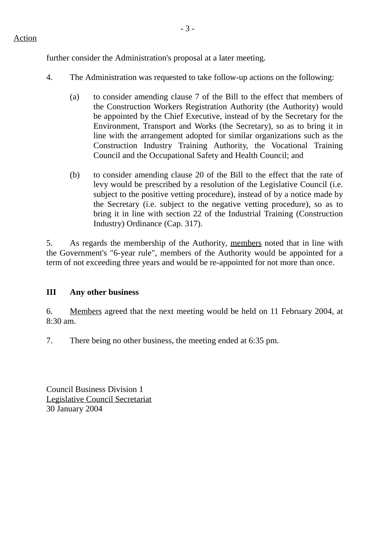further consider the Administration's proposal at a later meeting.

- 4. The Administration was requested to take follow-up actions on the following:
	- (a) to consider amending clause 7 of the Bill to the effect that members of the Construction Workers Registration Authority (the Authority) would be appointed by the Chief Executive, instead of by the Secretary for the Environment, Transport and Works (the Secretary), so as to bring it in line with the arrangement adopted for similar organizations such as the Construction Industry Training Authority, the Vocational Training Council and the Occupational Safety and Health Council; and
	- (b) to consider amending clause 20 of the Bill to the effect that the rate of levy would be prescribed by a resolution of the Legislative Council (i.e. subject to the positive vetting procedure), instead of by a notice made by the Secretary (i.e. subject to the negative vetting procedure), so as to bring it in line with section 22 of the Industrial Training (Construction Industry) Ordinance (Cap. 317).

5. As regards the membership of the Authority, members noted that in line with the Government's "6-year rule", members of the Authority would be appointed for a term of not exceeding three years and would be re-appointed for not more than once.

## **III Any other business**

6. Members agreed that the next meeting would be held on 11 February 2004, at  $8.30$  am.

7. There being no other business, the meeting ended at 6:35 pm.

Council Business Division 1 Legislative Council Secretariat 30 January 2004

### Action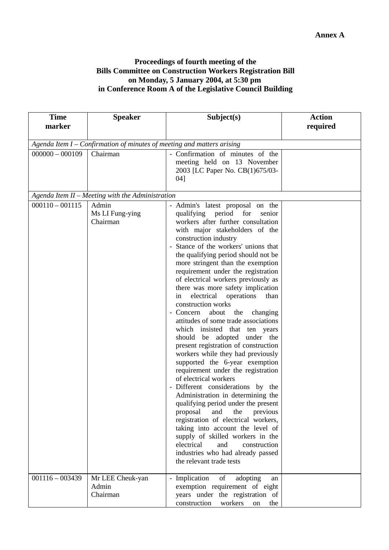#### **Proceedings of fourth meeting of the Bills Committee on Construction Workers Registration Bill on Monday, 5 January 2004, at 5:30 pm in Conference Room A of the Legislative Council Building**

| <b>Time</b><br><b>Speaker</b>                                          |                                                  | Subject(s)                                                                                                                                                                                                                                                                                                                                                                                                                                                                                                                                                                                                                                                                                                                                                                                                                                                                                                                                                                                                                                                                                                                                                                         | <b>Action</b> |  |  |  |
|------------------------------------------------------------------------|--------------------------------------------------|------------------------------------------------------------------------------------------------------------------------------------------------------------------------------------------------------------------------------------------------------------------------------------------------------------------------------------------------------------------------------------------------------------------------------------------------------------------------------------------------------------------------------------------------------------------------------------------------------------------------------------------------------------------------------------------------------------------------------------------------------------------------------------------------------------------------------------------------------------------------------------------------------------------------------------------------------------------------------------------------------------------------------------------------------------------------------------------------------------------------------------------------------------------------------------|---------------|--|--|--|
| marker                                                                 |                                                  |                                                                                                                                                                                                                                                                                                                                                                                                                                                                                                                                                                                                                                                                                                                                                                                                                                                                                                                                                                                                                                                                                                                                                                                    | required      |  |  |  |
|                                                                        |                                                  |                                                                                                                                                                                                                                                                                                                                                                                                                                                                                                                                                                                                                                                                                                                                                                                                                                                                                                                                                                                                                                                                                                                                                                                    |               |  |  |  |
| Agenda Item I - Confirmation of minutes of meeting and matters arising |                                                  |                                                                                                                                                                                                                                                                                                                                                                                                                                                                                                                                                                                                                                                                                                                                                                                                                                                                                                                                                                                                                                                                                                                                                                                    |               |  |  |  |
| $000000 - 000109$<br>Chairman                                          |                                                  | - Confirmation of minutes of the<br>meeting held on 13 November<br>2003 [LC Paper No. CB(1)675/03-<br>04]                                                                                                                                                                                                                                                                                                                                                                                                                                                                                                                                                                                                                                                                                                                                                                                                                                                                                                                                                                                                                                                                          |               |  |  |  |
|                                                                        | Agenda Item II - Meeting with the Administration |                                                                                                                                                                                                                                                                                                                                                                                                                                                                                                                                                                                                                                                                                                                                                                                                                                                                                                                                                                                                                                                                                                                                                                                    |               |  |  |  |
| $000110 - 001115$                                                      | Admin<br>Ms LI Fung-ying<br>Chairman             | - Admin's latest proposal on the<br>for<br>qualifying period<br>senior<br>workers after further consultation<br>with major stakeholders of the<br>construction industry<br>- Stance of the workers' unions that<br>the qualifying period should not be<br>more stringent than the exemption<br>requirement under the registration<br>of electrical workers previously as<br>there was more safety implication<br>electrical<br>operations<br>than<br>in<br>construction works<br>- Concern<br>about the changing<br>attitudes of some trade associations<br>which insisted that ten years<br>should be adopted under the<br>present registration of construction<br>workers while they had previously<br>supported the 6-year exemption<br>requirement under the registration<br>of electrical workers<br>- Different considerations by the<br>Administration in determining the<br>qualifying period under the present<br>previous<br>proposal<br>and<br>the<br>registration of electrical workers,<br>taking into account the level of<br>supply of skilled workers in the<br>electrical<br>and<br>construction<br>industries who had already passed<br>the relevant trade tests |               |  |  |  |
| $001116 - 003439$                                                      | Mr LEE Cheuk-yan<br>Admin<br>Chairman            | - Implication<br>of<br>adopting<br>an<br>exemption requirement of eight<br>years under the registration of<br>construction<br>workers<br>the<br>on                                                                                                                                                                                                                                                                                                                                                                                                                                                                                                                                                                                                                                                                                                                                                                                                                                                                                                                                                                                                                                 |               |  |  |  |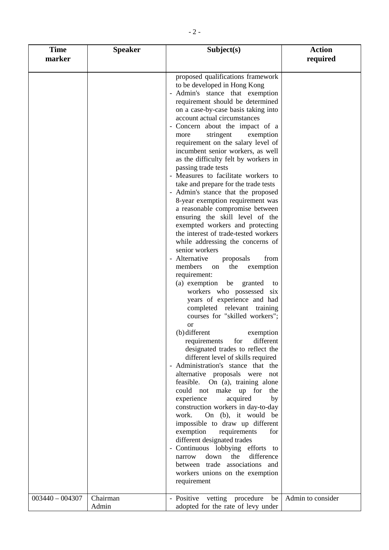| <b>Time</b><br><b>Speaker</b><br>marker |                   | Subject(s)                                                                                                                                                                                                                                                                                                                                                                                                                                                                                                                                                                                                                                                                                                                                                                                                                                                                                                                                                                                                                                                                                                                                                                                                                                                                                                                                                                                                                                                                                                                                                                                                                                                                                                                                      | <b>Action</b><br>required |
|-----------------------------------------|-------------------|-------------------------------------------------------------------------------------------------------------------------------------------------------------------------------------------------------------------------------------------------------------------------------------------------------------------------------------------------------------------------------------------------------------------------------------------------------------------------------------------------------------------------------------------------------------------------------------------------------------------------------------------------------------------------------------------------------------------------------------------------------------------------------------------------------------------------------------------------------------------------------------------------------------------------------------------------------------------------------------------------------------------------------------------------------------------------------------------------------------------------------------------------------------------------------------------------------------------------------------------------------------------------------------------------------------------------------------------------------------------------------------------------------------------------------------------------------------------------------------------------------------------------------------------------------------------------------------------------------------------------------------------------------------------------------------------------------------------------------------------------|---------------------------|
|                                         |                   | proposed qualifications framework<br>to be developed in Hong Kong<br>- Admin's stance that exemption<br>requirement should be determined<br>on a case-by-case basis taking into<br>account actual circumstances<br>- Concern about the impact of a<br>stringent<br>exemption<br>more<br>requirement on the salary level of<br>incumbent senior workers, as well<br>as the difficulty felt by workers in<br>passing trade tests<br>- Measures to facilitate workers to<br>take and prepare for the trade tests<br>- Admin's stance that the proposed<br>8-year exemption requirement was<br>a reasonable compromise between<br>ensuring the skill level of the<br>exempted workers and protecting<br>the interest of trade-tested workers<br>while addressing the concerns of<br>senior workers<br>- Alternative<br>proposals<br>from<br>members<br>the<br>exemption<br>on<br>requirement:<br>(a) exemption<br>be granted<br>to<br>workers who possessed<br>six<br>years of experience and had<br>completed relevant training<br>courses for "skilled workers";<br><sub>or</sub><br>(b) different<br>exemption<br>requirements<br>for<br>different<br>designated trades to reflect the<br>different level of skills required<br>- Administration's stance that the<br>alternative proposals were not<br>feasible. On (a), training alone<br>could not make up for<br>the<br>acquired<br>experience<br>by<br>construction workers in day-to-day<br>work.<br>On (b), it would be<br>impossible to draw up different<br>exemption<br>requirements<br>for<br>different designated trades<br>- Continuous lobbying efforts to<br>difference<br>down the<br>narrow<br>between trade associations and<br>workers unions on the exemption<br>requirement |                           |
| $003440 - 004307$                       | Chairman<br>Admin | - Positive vetting procedure<br>be<br>adopted for the rate of levy under                                                                                                                                                                                                                                                                                                                                                                                                                                                                                                                                                                                                                                                                                                                                                                                                                                                                                                                                                                                                                                                                                                                                                                                                                                                                                                                                                                                                                                                                                                                                                                                                                                                                        | Admin to consider         |